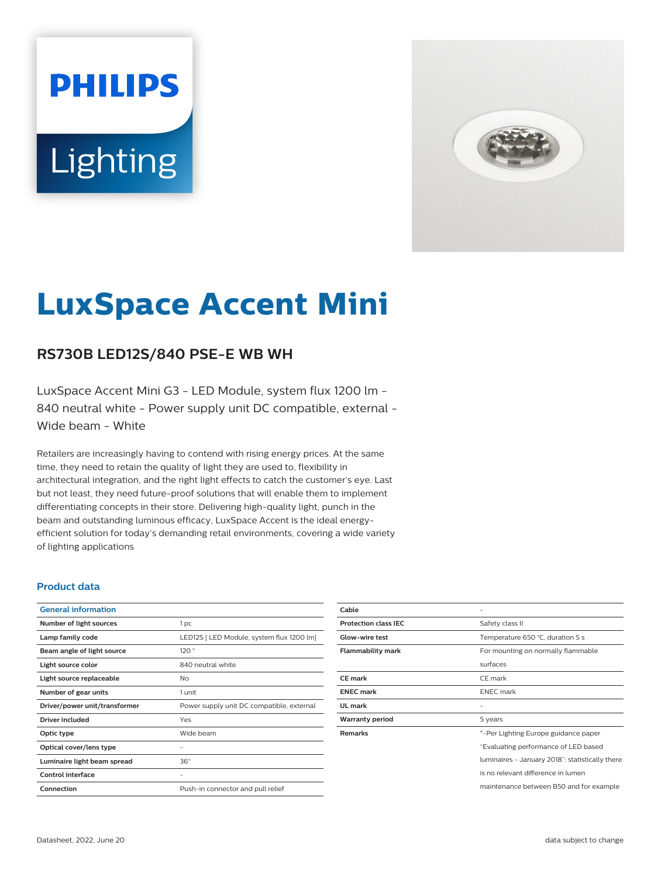# **PHILIPS** Lighting



# **LuxSpace Accent Mini**

# **RS730B LED12S/840 PSE-E WB WH**

LuxSpace Accent Mini G3 - LED Module, system flux 1200 lm - 840 neutral white - Power supply unit DC compatible, external - Wide beam - White

Retailers are increasingly having to contend with rising energy prices. At the same time, they need to retain the quality of light they are used to, flexibility in architectural integration, and the right light effects to catch the customer's eye. Last but not least, they need future-proof solutions that will enable them to implement differentiating concepts in their store. Delivering high-quality light, punch in the beam and outstanding luminous efficacy, LuxSpace Accent is the ideal energyefficient solution for today's demanding retail environments, covering a wide variety of lighting applications

#### **Product data**

| <b>General information</b>    |                                           |
|-------------------------------|-------------------------------------------|
| Number of light sources       | 1 <sub>pc</sub>                           |
| Lamp family code              | LED12S   LED Module, system flux 1200 lm] |
| Beam angle of light source    | 120°                                      |
| Light source color            | 840 neutral white                         |
| Light source replaceable      | No                                        |
| Number of gear units          | 1 unit                                    |
| Driver/power unit/transformer | Power supply unit DC compatible, external |
| Driver included               | Yes                                       |
| Optic type                    | Wide beam                                 |
| Optical cover/lens type       |                                           |
| Luminaire light beam spread   | $36^\circ$                                |
| Control interface             |                                           |
| Connection                    | Push-in connector and pull relief         |
|                               |                                           |

| Cable                       |                                                 |
|-----------------------------|-------------------------------------------------|
| <b>Protection class IEC</b> | Safety class II                                 |
| Glow-wire test              | Temperature 650 °C, duration 5 s                |
| <b>Flammability mark</b>    | For mounting on normally flammable              |
|                             | surfaces                                        |
| CE mark                     | CE mark                                         |
| <b>ENEC mark</b>            | <b>ENEC</b> mark                                |
| UL mark                     |                                                 |
| <b>Warranty period</b>      | 5 years                                         |
| <b>Remarks</b>              | *-Per Lighting Europe guidance paper            |
|                             | "Evaluating performance of LED based            |
|                             | luminaires - January 2018": statistically there |
|                             | is no relevant difference in lumen              |
|                             | maintenance between B50 and for example         |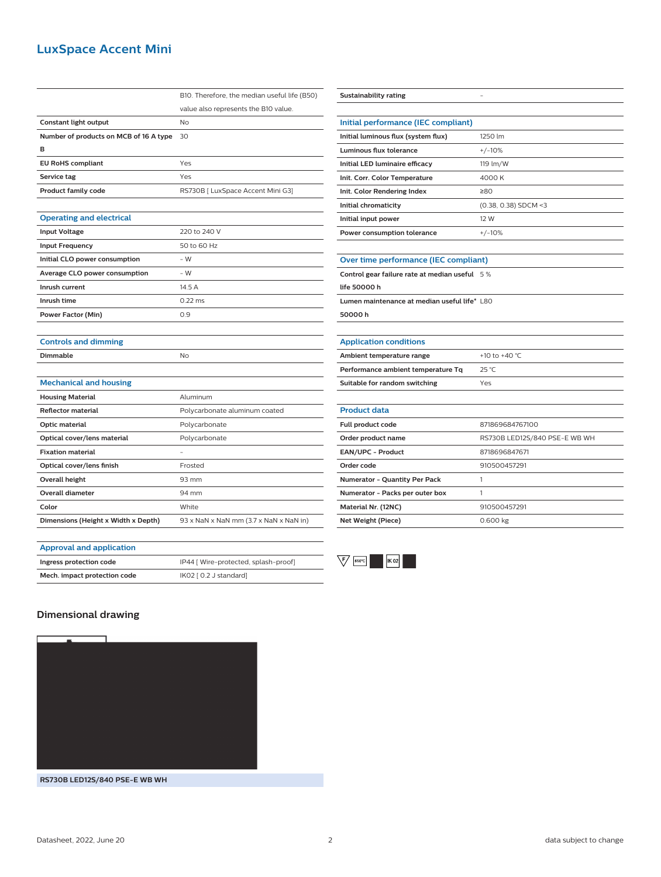### **LuxSpace Accent Mini**

|                                        | B10. Therefore, the median useful life (B50) |
|----------------------------------------|----------------------------------------------|
|                                        | value also represents the B10 value.         |
| Constant light output                  | No                                           |
| Number of products on MCB of 16 A type | 30                                           |
| в                                      |                                              |
| <b>EU RoHS compliant</b>               | Yes                                          |
| Service tag                            | Yes                                          |
| <b>Product family code</b>             | RS730B   LuxSpace Accent Mini G3]            |
|                                        |                                              |
| <b>Operating and electrical</b>        |                                              |
| <b>Input Voltage</b>                   | 220 to 240 V                                 |
| <b>Input Frequency</b>                 | 50 to 60 Hz                                  |
| Initial CLO power consumption          | $-W$                                         |
| Average CLO power consumption          | $-W$                                         |
| Inrush current                         | 14.5A                                        |
| Inrush time                            | $0.22$ ms                                    |
| <b>Power Factor (Min)</b>              | 0.9                                          |
|                                        |                                              |

| <b>Controls and dimming</b> |  |  |
|-----------------------------|--|--|
|-----------------------------|--|--|

| Dimmable | No |
|----------|----|
|          |    |

| <b>Mechanical and housing</b>       |                                        |
|-------------------------------------|----------------------------------------|
| <b>Housing Material</b>             | Aluminum                               |
| <b>Reflector material</b>           | Polycarbonate aluminum coated          |
| Optic material                      | Polycarbonate                          |
| Optical cover/lens material         | Polycarbonate                          |
| <b>Fixation material</b>            |                                        |
| Optical cover/lens finish           | Frosted                                |
| Overall height                      | $93 \text{ mm}$                        |
| <b>Overall diameter</b>             | 94 mm                                  |
| Color                               | White                                  |
| Dimensions (Height x Width x Depth) | 93 x NaN x NaN mm (3.7 x NaN x NaN in) |

# **Sustainability rating** - **Initial performance (IEC compliant) Initial luminous flux (system flux)** 1250 lm **Luminous flux tolerance** +/-10% **Initial LED luminaire efficacy** 119 lm/W **Init. Corr. Color Temperature** 4000 K **Init. Color Rendering Index** ≥80 **Initial chromaticity** (0.38, 0.38) SDCM <3 **Initial input power** 12 W **Power consumption tolerance** +/-10% **Over time performance (IEC compliant) Control gear failure rate at median useful** 5 % **life 50000 h Lumen maintenance at median useful life\*** L80 **50000 h Application conditions Ambient temperature range**  $+10$  to  $+40$  °C **Performance ambient temperature Tq** 25 °C **Suitable for random switching** Yes **Product data Full product code** 871869684767100 Order product name RS730B LED12S/840 PSE-E WB WH **EAN/UPC - Product** 8718696847671 **Order code** 910500457291 **Numerator - Quantity Per Pack** 1 **Numerator - Packs per outer box** 1



**Material Nr. (12NC)** 910500457291 **Net Weight (Piece)** 0.600 kg

# **Approval and application**

| Ingress protection code      | IP44 [ Wire-protected, splash-proof] |
|------------------------------|--------------------------------------|
| Mech. impact protection code | IK02 [ 0.2 J standard]               |
|                              |                                      |

#### **Dimensional drawing**



**RS730B LED12S/840 PSE-E WB WH**

#### Datasheet, 2022, June 20 2 data subject to change